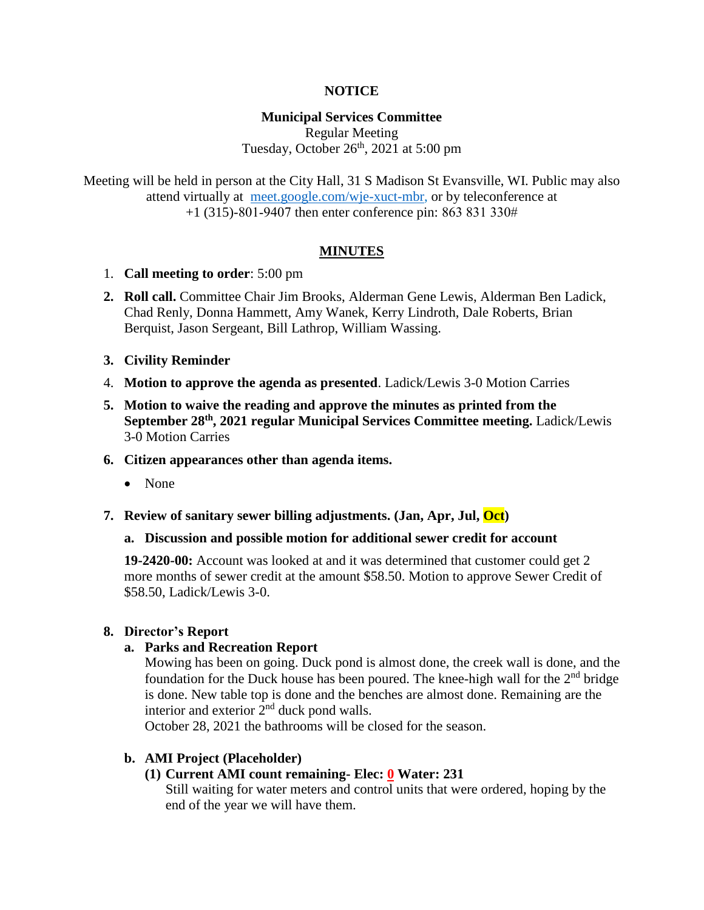### **NOTICE**

### **Municipal Services Committee**

Regular Meeting Tuesday, October  $26<sup>th</sup>$ , 2021 at 5:00 pm

Meeting will be held in person at the City Hall, 31 S Madison St Evansville, WI. Public may also attend virtually at [meet.google.com/wje-xuct-mbr,](file://///fs01/cityhall/Minutes%20&%20Agendas/Municipal%20Services%20Committee/2021%20MSC%20Agendas/meet.google.com/wje-xuct-mbr) or by teleconference at +1 (315)-801-9407 then enter conference pin: 863 831 330#

### **MINUTES**

- 1. **Call meeting to order**: 5:00 pm
- **2. Roll call.** Committee Chair Jim Brooks, Alderman Gene Lewis, Alderman Ben Ladick, Chad Renly, Donna Hammett, Amy Wanek, Kerry Lindroth, Dale Roberts, Brian Berquist, Jason Sergeant, Bill Lathrop, William Wassing.
- **3. Civility Reminder**
- 4. **Motion to approve the agenda as presented**. Ladick/Lewis 3-0 Motion Carries
- **5. Motion to waive the reading and approve the minutes as printed from the September 28th, 2021 regular Municipal Services Committee meeting.** Ladick/Lewis 3-0 Motion Carries
- **6. Citizen appearances other than agenda items.**
	- None
- **7. Review of sanitary sewer billing adjustments. (Jan, Apr, Jul, Oct)**
	- **a. Discussion and possible motion for additional sewer credit for account**

**19-2420-00:** Account was looked at and it was determined that customer could get 2 more months of sewer credit at the amount \$58.50. Motion to approve Sewer Credit of \$58.50, Ladick/Lewis 3-0.

### **8. Director's Report**

### **a. Parks and Recreation Report**

Mowing has been on going. Duck pond is almost done, the creek wall is done, and the foundation for the Duck house has been poured. The knee-high wall for the  $2<sup>nd</sup>$  bridge is done. New table top is done and the benches are almost done. Remaining are the interior and exterior  $2<sup>nd</sup>$  duck pond walls.

October 28, 2021 the bathrooms will be closed for the season.

## **b. AMI Project (Placeholder)**

## **(1) Current AMI count remaining- Elec: 0 Water: 231**

Still waiting for water meters and control units that were ordered, hoping by the end of the year we will have them.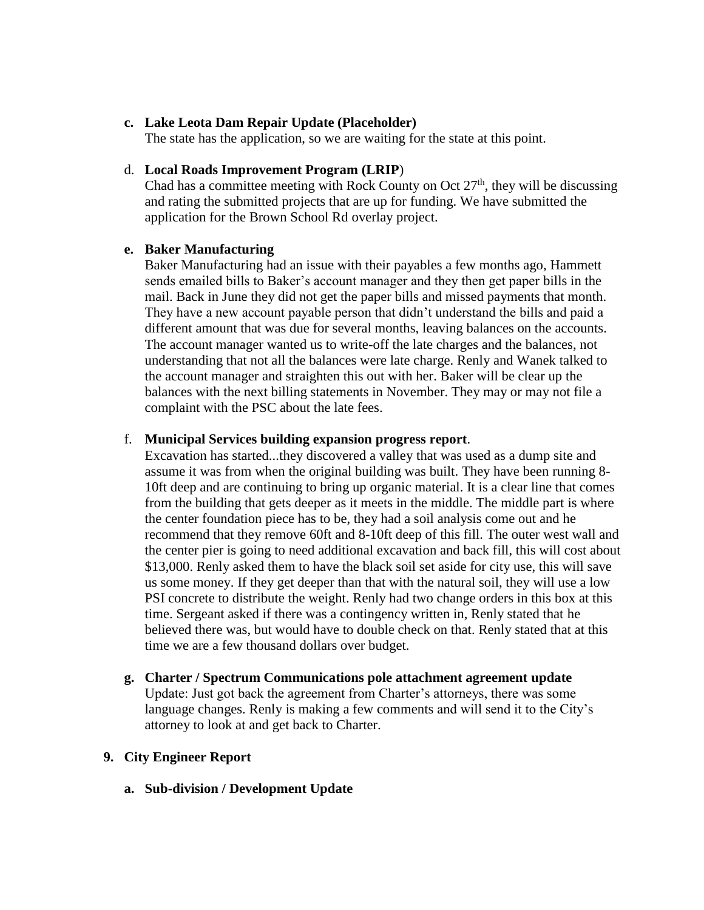### **c. Lake Leota Dam Repair Update (Placeholder)**

The state has the application, so we are waiting for the state at this point.

### d. **Local Roads Improvement Program (LRIP**)

Chad has a committee meeting with Rock County on Oct  $27<sup>th</sup>$ , they will be discussing and rating the submitted projects that are up for funding. We have submitted the application for the Brown School Rd overlay project.

### **e. Baker Manufacturing**

Baker Manufacturing had an issue with their payables a few months ago, Hammett sends emailed bills to Baker's account manager and they then get paper bills in the mail. Back in June they did not get the paper bills and missed payments that month. They have a new account payable person that didn't understand the bills and paid a different amount that was due for several months, leaving balances on the accounts. The account manager wanted us to write-off the late charges and the balances, not understanding that not all the balances were late charge. Renly and Wanek talked to the account manager and straighten this out with her. Baker will be clear up the balances with the next billing statements in November. They may or may not file a complaint with the PSC about the late fees.

### f. **Municipal Services building expansion progress report**.

Excavation has started...they discovered a valley that was used as a dump site and assume it was from when the original building was built. They have been running 8- 10ft deep and are continuing to bring up organic material. It is a clear line that comes from the building that gets deeper as it meets in the middle. The middle part is where the center foundation piece has to be, they had a soil analysis come out and he recommend that they remove 60ft and 8-10ft deep of this fill. The outer west wall and the center pier is going to need additional excavation and back fill, this will cost about \$13,000. Renly asked them to have the black soil set aside for city use, this will save us some money. If they get deeper than that with the natural soil, they will use a low PSI concrete to distribute the weight. Renly had two change orders in this box at this time. Sergeant asked if there was a contingency written in, Renly stated that he believed there was, but would have to double check on that. Renly stated that at this time we are a few thousand dollars over budget.

#### **g. Charter / Spectrum Communications pole attachment agreement update**

Update: Just got back the agreement from Charter's attorneys, there was some language changes. Renly is making a few comments and will send it to the City's attorney to look at and get back to Charter.

### **9. City Engineer Report**

**a. Sub-division / Development Update**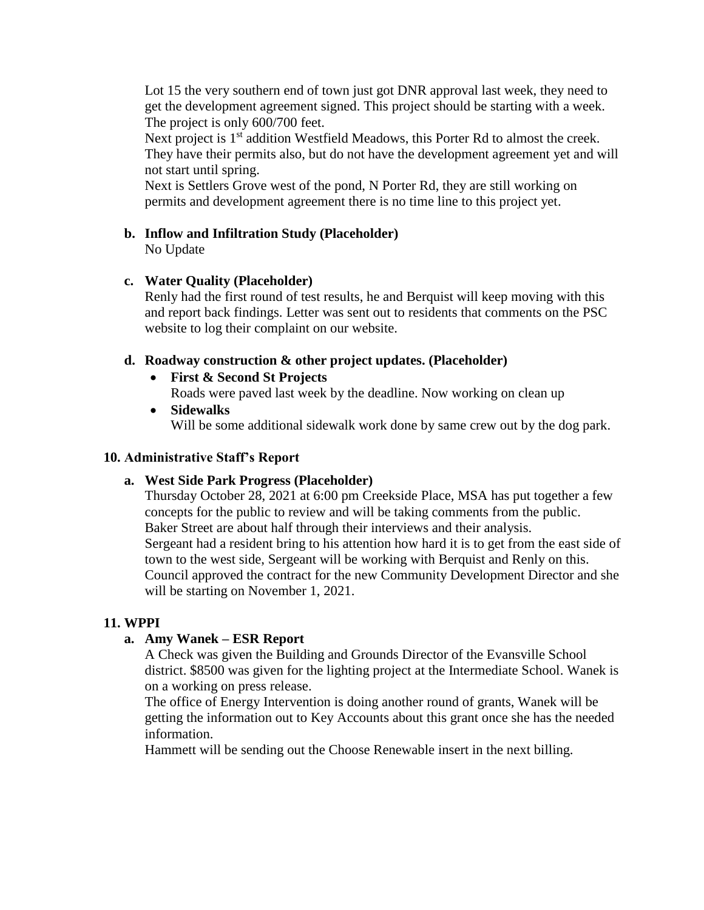Lot 15 the very southern end of town just got DNR approval last week, they need to get the development agreement signed. This project should be starting with a week. The project is only 600/700 feet.

Next project is 1<sup>st</sup> addition Westfield Meadows, this Porter Rd to almost the creek. They have their permits also, but do not have the development agreement yet and will not start until spring.

Next is Settlers Grove west of the pond, N Porter Rd, they are still working on permits and development agreement there is no time line to this project yet.

## **b. Inflow and Infiltration Study (Placeholder)**

No Update

## **c. Water Quality (Placeholder)**

Renly had the first round of test results, he and Berquist will keep moving with this and report back findings. Letter was sent out to residents that comments on the PSC website to log their complaint on our website.

### **d. Roadway construction & other project updates. (Placeholder)**

- **First & Second St Projects** Roads were paved last week by the deadline. Now working on clean up
- **Sidewalks** Will be some additional sidewalk work done by same crew out by the dog park.

### **10. Administrative Staff's Report**

## **a. West Side Park Progress (Placeholder)**

Thursday October 28, 2021 at 6:00 pm Creekside Place, MSA has put together a few concepts for the public to review and will be taking comments from the public. Baker Street are about half through their interviews and their analysis. Sergeant had a resident bring to his attention how hard it is to get from the east side of town to the west side, Sergeant will be working with Berquist and Renly on this. Council approved the contract for the new Community Development Director and she will be starting on November 1, 2021.

## **11. WPPI**

## **a. Amy Wanek – ESR Report**

A Check was given the Building and Grounds Director of the Evansville School district. \$8500 was given for the lighting project at the Intermediate School. Wanek is on a working on press release.

The office of Energy Intervention is doing another round of grants, Wanek will be getting the information out to Key Accounts about this grant once she has the needed information.

Hammett will be sending out the Choose Renewable insert in the next billing.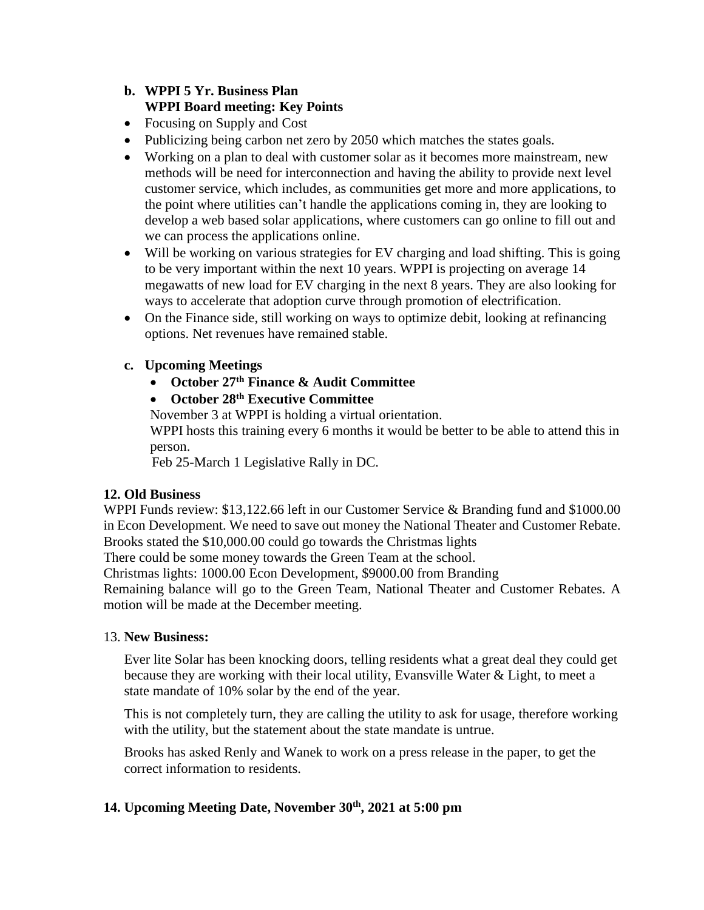## **b. WPPI 5 Yr. Business Plan WPPI Board meeting: Key Points**

- Focusing on Supply and Cost
- Publicizing being carbon net zero by 2050 which matches the states goals.
- Working on a plan to deal with customer solar as it becomes more mainstream, new methods will be need for interconnection and having the ability to provide next level customer service, which includes, as communities get more and more applications, to the point where utilities can't handle the applications coming in, they are looking to develop a web based solar applications, where customers can go online to fill out and we can process the applications online.
- Will be working on various strategies for EV charging and load shifting. This is going to be very important within the next 10 years. WPPI is projecting on average 14 megawatts of new load for EV charging in the next 8 years. They are also looking for ways to accelerate that adoption curve through promotion of electrification.
- On the Finance side, still working on ways to optimize debit, looking at refinancing options. Net revenues have remained stable.
- **c. Upcoming Meetings** 
	- **October 27th Finance & Audit Committee**
	- **October 28th Executive Committee**

November 3 at WPPI is holding a virtual orientation. WPPI hosts this training every 6 months it would be better to be able to attend this in person.

Feb 25-March 1 Legislative Rally in DC.

### **12. Old Business**

WPPI Funds review: \$13,122.66 left in our Customer Service & Branding fund and \$1000.00 in Econ Development. We need to save out money the National Theater and Customer Rebate. Brooks stated the \$10,000.00 could go towards the Christmas lights

There could be some money towards the Green Team at the school.

Christmas lights: 1000.00 Econ Development, \$9000.00 from Branding

Remaining balance will go to the Green Team, National Theater and Customer Rebates. A motion will be made at the December meeting.

## 13. **New Business:**

Ever lite Solar has been knocking doors, telling residents what a great deal they could get because they are working with their local utility, Evansville Water & Light, to meet a state mandate of 10% solar by the end of the year.

This is not completely turn, they are calling the utility to ask for usage, therefore working with the utility, but the statement about the state mandate is untrue.

Brooks has asked Renly and Wanek to work on a press release in the paper, to get the correct information to residents.

## **14. Upcoming Meeting Date, November 30th, 2021 at 5:00 pm**